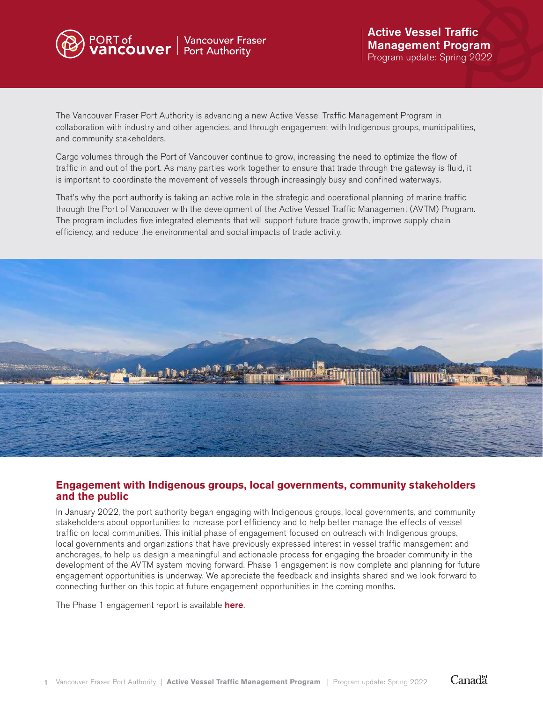

The Vancouver Fraser Port Authority is advancing a new Active Vessel Traffic Management Program in collaboration with industry and other agencies, and through engagement with Indigenous groups, municipalities, and community stakeholders.

Cargo volumes through the Port of Vancouver continue to grow, increasing the need to optimize the flow of traffic in and out of the port. As many parties work together to ensure that trade through the gateway is fluid, it is important to coordinate the movement of vessels through increasingly busy and confined waterways.

That's why the port authority is taking an active role in the strategic and operational planning of marine traffic through the Port of Vancouver with the development of the Active Vessel Traffic Management (AVTM) Program. The program includes five integrated elements that will support future trade growth, improve supply chain efficiency, and reduce the environmental and social impacts of trade activity.



### **Engagement with Indigenous groups, local governments, community stakeholders and the public**

In January 2022, the port authority began engaging with Indigenous groups, local governments, and community stakeholders about opportunities to increase port efficiency and to help better manage the effects of vessel traffic on local communities. This initial phase of engagement focused on outreach with Indigenous groups, local governments and organizations that have previously expressed interest in vessel traffic management and anchorages, to help us design a meaningful and actionable process for engaging the broader community in the development of the AVTM system moving forward. Phase 1 engagement is now complete and planning for future engagement opportunities is underway. We appreciate the feedback and insights shared and we look forward to connecting further on this topic at future engagement opportunities in the coming months.

The Phase 1 engagement report is available **[here](https://www.portvancouver.com/wp-content/uploads/2022/05/2022-05-04-Port-Optimization-Initiatives_Active-Vessel-Traffic-Management-Phase-1-Engagement-Summary-Report.pdf)**.